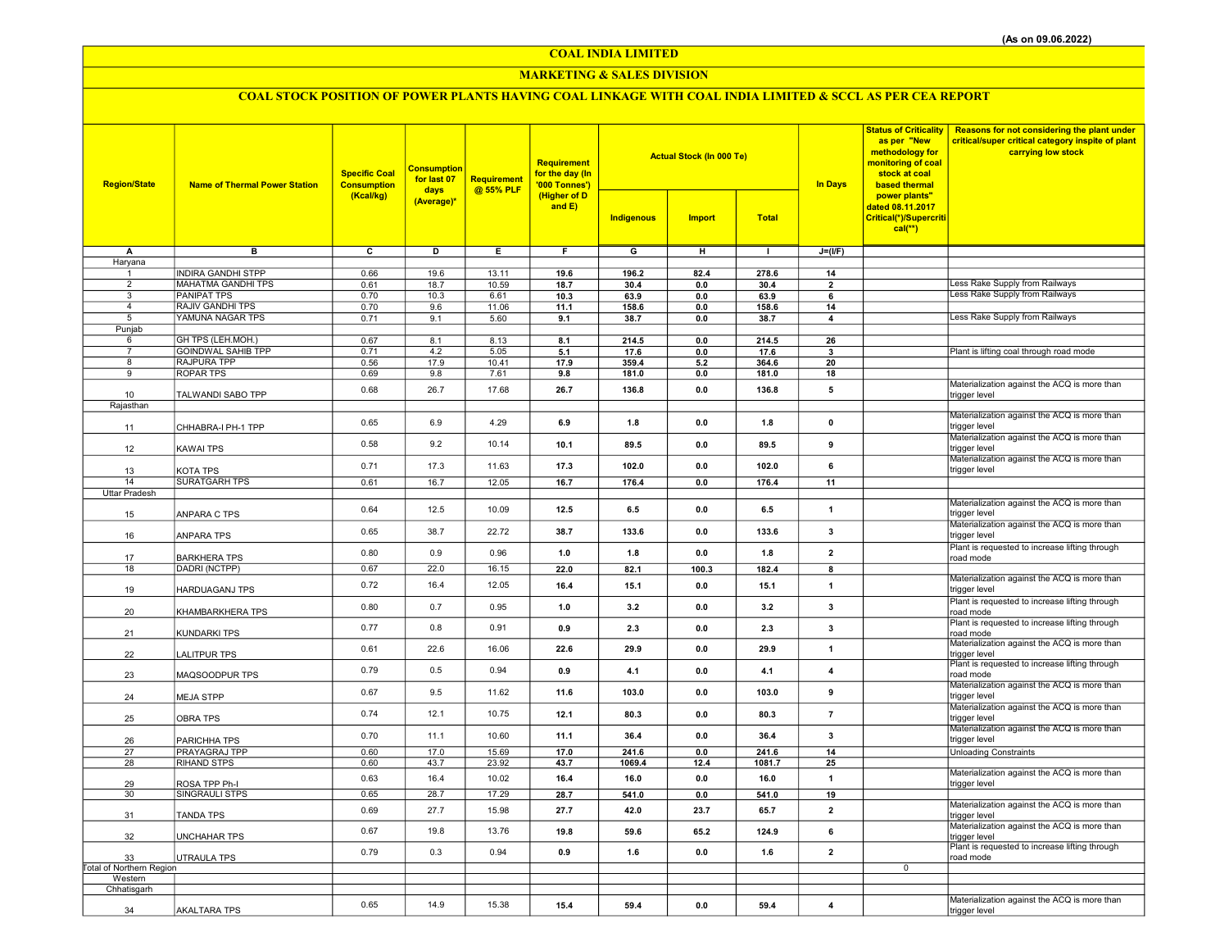COAL INDIA LIMITED

#### MARKETING & SALES DIVISION

## COAL STOCK POSITION OF POWER PLANTS HAVING COAL LINKAGE WITH COAL INDIA LIMITED & SCCL AS PER CEA REPORT

| <b>Region/State</b>             | <b>Name of Thermal Power Station</b>                   | <b>Specific Coal</b><br><b>Consumption</b> | <b>Consumption</b><br>for last 07<br>days | Requirement<br>@ 55% PLF | Requirement<br>for the day (In<br>'000 Tonnes')<br>(Higher of D<br>and E) |                         | <b>Actual Stock (In 000 Te)</b> |               | <b>In Days</b>          | as per "New<br>methodology for<br>monitoring of coal<br>stock at coal<br>based thermal | Status of Criticality   Reasons for not considering the plant under<br>critical/super critical category inspite of plant<br>carrying low stock |
|---------------------------------|--------------------------------------------------------|--------------------------------------------|-------------------------------------------|--------------------------|---------------------------------------------------------------------------|-------------------------|---------------------------------|---------------|-------------------------|----------------------------------------------------------------------------------------|------------------------------------------------------------------------------------------------------------------------------------------------|
|                                 |                                                        | (Kcal/kg)                                  | (Average)*                                |                          |                                                                           | Indigenous              | <b>Import</b>                   | <b>Total</b>  |                         | power plants"<br>dated 08.11.2017<br>Critical(*)/Supercriti<br>$cal$ (**)              |                                                                                                                                                |
| А                               | $\overline{B}$                                         | $\overline{\mathbf{c}}$                    | $\overline{\mathsf{D}}$                   | Έ                        | Ŧ                                                                         | $\overline{\mathsf{G}}$ | $\overline{H}$                  | $\mathbf{I}$  | $J=(I/F)$               |                                                                                        |                                                                                                                                                |
| Haryana                         |                                                        |                                            |                                           |                          |                                                                           |                         |                                 |               |                         |                                                                                        |                                                                                                                                                |
| $\overline{2}$                  | <b>INDIRA GANDHI STPP</b><br><b>MAHATMA GANDHI TPS</b> | 0.66<br>0.61                               | 19.6<br>18.7                              | 13.11<br>10.59           | 19.6<br>18.7                                                              | 196.2<br>30.4           | 82.4<br>0.0                     | 278.6<br>30.4 | 14<br>$\overline{2}$    |                                                                                        | Less Rake Supply from Railways                                                                                                                 |
| 3                               | <b>PANIPAT TPS</b>                                     | 0.70                                       | 10.3                                      | 6.61                     | 10.3                                                                      | 63.9                    | 0.0                             | 63.9          | 6                       |                                                                                        | Less Rake Supply from Railways                                                                                                                 |
| $\overline{4}$                  | <b>RAJIV GANDHI TPS</b>                                | 0.70                                       | 9.6                                       | 11.06                    | 11.1                                                                      | 158.6                   | 0.0                             | 158.6         | 14                      |                                                                                        |                                                                                                                                                |
| 5                               | YAMUNA NAGAR TPS                                       | 0.71                                       | 9.1                                       | 5.60                     | 9.1                                                                       | 38.7                    | 0.0                             | 38.7          | $\overline{4}$          |                                                                                        | Less Rake Supply from Railways                                                                                                                 |
| Punjab                          |                                                        |                                            |                                           |                          |                                                                           |                         |                                 |               |                         |                                                                                        |                                                                                                                                                |
| 6<br>$\overline{7}$             | GH TPS (LEH.MOH.)<br><b>GOINDWAL SAHIB TPP</b>         | 0.67<br>0.71                               | 8.1<br>4.2                                | 8.13<br>5.05             | 8.1<br>5.1                                                                | 214.5<br>17.6           | 0.0<br>0.0                      | 214.5<br>17.6 | 26<br>$\mathbf{3}$      |                                                                                        | Plant is lifting coal through road mode                                                                                                        |
| 8                               | <b>RAJPURA TPP</b>                                     | 0.56                                       | 17.9                                      | 10.41                    | 17.9                                                                      | 359.4                   | 5.2                             | 364.6         | 20                      |                                                                                        |                                                                                                                                                |
| $\overline{9}$                  | <b>ROPAR TPS</b>                                       | 0.69                                       | 9.8                                       | 7.61                     | 9.8                                                                       | 181.0                   | 0.0                             | 181.0         | 18                      |                                                                                        |                                                                                                                                                |
|                                 |                                                        | 0.68                                       | 26.7                                      | 17.68                    | 26.7                                                                      | 136.8                   | 0.0                             | 136.8         | 5                       |                                                                                        | Materialization against the ACQ is more than                                                                                                   |
| 10                              | TALWANDI SABO TPP                                      |                                            |                                           |                          |                                                                           |                         |                                 |               |                         |                                                                                        | trigger level                                                                                                                                  |
| Rajasthan                       |                                                        |                                            |                                           |                          |                                                                           |                         |                                 |               |                         |                                                                                        | Materialization against the ACQ is more than                                                                                                   |
| 11                              | CHHABRA-I PH-1 TPP                                     | 0.65                                       | 6.9                                       | 4.29                     | 6.9                                                                       | 1.8                     | 0.0                             | 1.8           | $\pmb{0}$               |                                                                                        | trigger level                                                                                                                                  |
| 12                              | KAWAI TPS                                              | 0.58                                       | 9.2                                       | 10.14                    | 10.1                                                                      | 89.5                    | 0.0                             | 89.5          | 9                       |                                                                                        | Materialization against the ACQ is more than<br>trigger level                                                                                  |
| 13                              | KOTA TPS                                               | 0.71                                       | 17.3                                      | 11.63                    | 17.3                                                                      | 102.0                   | 0.0                             | 102.0         | 6                       |                                                                                        | Materialization against the ACQ is more than<br>trigger level                                                                                  |
| 14                              | <b>SURATGARH TPS</b>                                   | 0.61                                       | 16.7                                      | 12.05                    | 16.7                                                                      | 176.4                   | 0.0                             | 176.4         | 11                      |                                                                                        |                                                                                                                                                |
| Uttar Pradesh                   |                                                        |                                            |                                           |                          |                                                                           |                         |                                 |               |                         |                                                                                        |                                                                                                                                                |
| 15                              | ANPARA C TPS                                           | 0.64                                       | 12.5                                      | 10.09                    | 12.5                                                                      | 6.5                     | 0.0                             | 6.5           | $\mathbf{1}$            |                                                                                        | Materialization against the ACQ is more than<br>trigger level                                                                                  |
| 16                              | ANPARA TPS                                             | 0.65                                       | 38.7                                      | 22.72                    | 38.7                                                                      | 133.6                   | 0.0                             | 133.6         | 3                       |                                                                                        | Materialization against the ACQ is more than<br>trigger level                                                                                  |
| 17                              | <b>BARKHERA TPS</b>                                    | 0.80                                       | 0.9                                       | 0.96                     | 1.0                                                                       | 1.8                     | 0.0                             | 1.8           | $\overline{2}$          |                                                                                        | Plant is requested to increase lifting through<br>road mode                                                                                    |
| 18                              | DADRI (NCTPP)                                          | 0.67                                       | 22.0                                      | 16.15                    | 22.0                                                                      | 82.1                    | 100.3                           | 182.4         | 8                       |                                                                                        |                                                                                                                                                |
| 19                              | HARDUAGANJ TPS                                         | 0.72                                       | 16.4                                      | 12.05                    | 16.4                                                                      | 15.1                    | 0.0                             | 15.1          | $\mathbf{1}$            |                                                                                        | Materialization against the ACQ is more than<br>trigger level                                                                                  |
| 20                              | KHAMBARKHERA TPS                                       | 0.80                                       | 0.7                                       | 0.95                     | 1.0                                                                       | 3.2                     | 0.0                             | 3.2           | 3                       |                                                                                        | Plant is requested to increase lifting through<br>road mode                                                                                    |
| 21                              | KUNDARKI TPS                                           | 0.77                                       | 0.8                                       | 0.91                     | 0.9                                                                       | 2.3                     | 0.0                             | 2.3           | $\mathbf{3}$            |                                                                                        | Plant is requested to increase lifting through<br>road mode                                                                                    |
| 22                              | LALITPUR TPS                                           | 0.61                                       | 22.6                                      | 16.06                    | 22.6                                                                      | 29.9                    | 0.0                             | 29.9          | $\mathbf{1}$            |                                                                                        | Materialization against the ACQ is more than<br>trigger level                                                                                  |
| 23                              | MAQSOODPUR TPS                                         | 0.79                                       | 0.5                                       | 0.94                     | 0.9                                                                       | 4.1                     | 0.0                             | 4.1           | $\overline{4}$          |                                                                                        | Plant is requested to increase lifting through<br>road mode                                                                                    |
| 24                              | <b>MEJA STPP</b>                                       | 0.67                                       | 9.5                                       | 11.62                    | 11.6                                                                      | 103.0                   | 0.0                             | 103.0         | 9                       |                                                                                        | Materialization against the ACQ is more than<br>trigger level<br>Materialization against the ACQ is more than                                  |
| 25                              | <b>OBRA TPS</b>                                        | 0.74                                       | 12.1                                      | 10.75                    | 12.1                                                                      | 80.3                    | 0.0                             | 80.3          | $\overline{7}$          |                                                                                        | trigger level<br>Materialization against the ACQ is more than                                                                                  |
| 26                              | PARICHHA TPS                                           | 0.70                                       | 11.1                                      | 10.60                    | 11.1                                                                      | 36.4                    | 0.0                             | 36.4          | 3                       |                                                                                        | trigger level                                                                                                                                  |
| 27                              | PRAYAGRAJ TPP                                          | 0.60                                       | 17.0                                      | 15.69                    | 17.0                                                                      | 241.6                   | 0.0                             | 241.6         | 14                      |                                                                                        | <b>Unloading Constraints</b>                                                                                                                   |
| 28                              | <b>RIHAND STPS</b>                                     | 0.60                                       | 43.7                                      | 23.92                    | 43.7                                                                      | 1069.4                  | 12.4                            | 1081.7        | 25                      |                                                                                        |                                                                                                                                                |
| 29                              | ROSA TPP Ph-I                                          | 0.63                                       | 16.4                                      | 10.02                    | 16.4                                                                      | 16.0                    | 0.0                             | 16.0          | 1                       |                                                                                        | Materialization against the ACQ is more than<br>trigger level                                                                                  |
| 30                              | <b>SINGRAULI STPS</b>                                  | 0.65                                       | 28.7                                      | 17.29                    | 28.7                                                                      | 541.0                   | 0.0                             | 541.0         | 19                      |                                                                                        | Materialization against the ACQ is more than                                                                                                   |
| 31                              | <b>TANDA TPS</b>                                       | 0.69                                       | 27.7                                      | 15.98                    | 27.7                                                                      | 42.0                    | 23.7                            | 65.7          | $\overline{\mathbf{2}}$ |                                                                                        | trigger level                                                                                                                                  |
| 32                              | UNCHAHAR TPS                                           | 0.67                                       | 19.8                                      | 13.76                    | 19.8                                                                      | 59.6                    | 65.2                            | 124.9         | 6                       |                                                                                        | Materialization against the ACQ is more than<br>trigger level                                                                                  |
| 33                              | UTRAULA TPS                                            | 0.79                                       | 0.3                                       | 0.94                     | 0.9                                                                       | 1.6                     | 0.0                             | 1.6           | $\overline{\mathbf{2}}$ |                                                                                        | Plant is requested to increase lifting through<br>road mode                                                                                    |
| <b>Total of Northern Region</b> |                                                        |                                            |                                           |                          |                                                                           |                         |                                 |               |                         | $\mathbf 0$                                                                            |                                                                                                                                                |
| Western<br>Chhatisgarh          |                                                        |                                            |                                           |                          |                                                                           |                         |                                 |               |                         |                                                                                        |                                                                                                                                                |
|                                 |                                                        |                                            |                                           |                          |                                                                           |                         |                                 |               |                         |                                                                                        | Materialization against the ACQ is more than                                                                                                   |
| 34                              | <b>AKALTARA TPS</b>                                    | 0.65                                       | 14.9                                      | 15.38                    | 15.4                                                                      | 59.4                    | 0.0                             | 59.4          | $\overline{\mathbf{4}}$ |                                                                                        | trigger level                                                                                                                                  |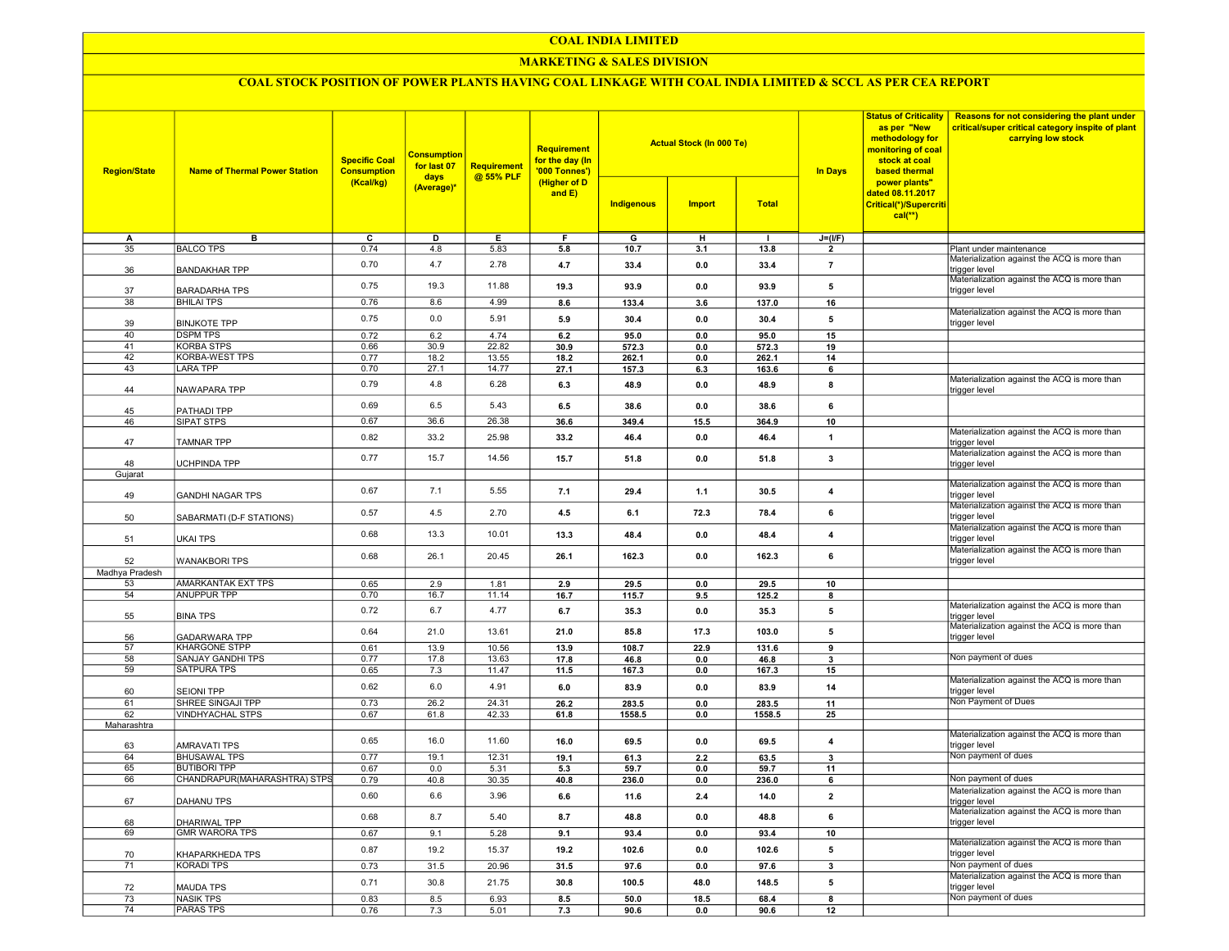#### COAL INDIA LIMITED

#### MARKETING & SALES DIVISION

### COAL STOCK POSITION OF POWER PLANTS HAVING COAL LINKAGE WITH COAL INDIA LIMITED & SCCL AS PER CEA REPORT

| <b>Region/State</b> | <b>Name of Thermal Power Station</b>         | <b>Specific Coal</b><br><b>Consumption</b><br>(Kcal/kg) | <mark>Consumption</mark><br>for last 07<br>days<br>(Average)* | <b>Requirement</b><br>@ 55% PLF | <b>Requirement</b><br>for the day (In<br>'000 Tonnes')<br>(Higher of D<br>and $E$ ) |                | <b>Actual Stock (In 000 Te)</b> |                | <b>In Days</b>          | <b>Status of Criticality</b><br>as per "New<br>methodology for<br>monitoring of coal<br>stock at coal<br>based thermal | Reasons for not considering the plant under<br>critical/super critical category inspite of plant<br>carrying low stock |
|---------------------|----------------------------------------------|---------------------------------------------------------|---------------------------------------------------------------|---------------------------------|-------------------------------------------------------------------------------------|----------------|---------------------------------|----------------|-------------------------|------------------------------------------------------------------------------------------------------------------------|------------------------------------------------------------------------------------------------------------------------|
|                     |                                              |                                                         |                                                               |                                 |                                                                                     | Indigenous     | <b>Import</b>                   | <b>Total</b>   |                         | power plants"<br>dated 08.11.2017<br>Critical(*)/Supercriti<br>$cal**$                                                 |                                                                                                                        |
| A                   | в                                            | $\overline{\mathfrak{c}}$                               | D                                                             | Е.                              | F                                                                                   | G              | н                               | -1             | $J=(I/F)$               |                                                                                                                        |                                                                                                                        |
| 35                  | <b>BALCO TPS</b>                             | 0.74                                                    | 4.8                                                           | 5.83                            | 5.8                                                                                 | 10.7           | 3.1                             | 13.8           | $\overline{2}$          |                                                                                                                        | Plant under maintenance                                                                                                |
| 36                  | <b>BANDAKHAR TPP</b>                         | 0.70                                                    | 4.7                                                           | 2.78                            | 4.7                                                                                 | 33.4           | 0.0                             | 33.4           | $\overline{7}$          |                                                                                                                        | Materialization against the ACQ is more than<br>trigger level                                                          |
| 37                  | <b>BARADARHA TPS</b>                         | 0.75                                                    | 19.3                                                          | 11.88                           | 19.3                                                                                | 93.9           | 0.0                             | 93.9           | 5                       |                                                                                                                        | Materialization against the ACQ is more than<br>trigger level                                                          |
| 38                  | <b>BHILAI TPS</b>                            | 0.76                                                    | 8.6                                                           | 4.99                            | 8.6                                                                                 | 133.4          | 3.6                             | 137.0          | 16                      |                                                                                                                        | Materialization against the ACQ is more than                                                                           |
| 39                  | <b>BINJKOTE TPP</b>                          | 0.75                                                    | 0.0                                                           | 5.91                            | 5.9                                                                                 | 30.4           | 0.0                             | 30.4           | 5                       |                                                                                                                        | trigger level                                                                                                          |
| 40<br>41            | <b>DSPM TPS</b><br><b>KORBA STPS</b>         | 0.72                                                    | 6.2                                                           | 4.74                            | 6.2                                                                                 | 95.0           | 0.0                             | 95.0           | 15                      |                                                                                                                        |                                                                                                                        |
| 42                  | <b>KORBA-WEST TPS</b>                        | 0.66<br>0.77                                            | 30.9                                                          | 22.82                           | 30.9<br>18.2                                                                        | 572.3<br>262.1 | 0.0<br>0.0                      | 572.3<br>262.1 | 19<br>14                |                                                                                                                        |                                                                                                                        |
| 43                  | <b>LARA TPP</b>                              | 0.70                                                    | 18.2<br>27.1                                                  | 13.55<br>14.77                  | 27.1                                                                                | 157.3          | 6.3                             | 163.6          | 6                       |                                                                                                                        |                                                                                                                        |
|                     |                                              |                                                         |                                                               |                                 |                                                                                     |                |                                 |                |                         |                                                                                                                        | Materialization against the ACQ is more than                                                                           |
| 44                  | NAWAPARA TPP                                 | 0.79                                                    | 4.8                                                           | 6.28                            | 6.3                                                                                 | 48.9           | 0.0                             | 48.9           | 8                       |                                                                                                                        | trigger level                                                                                                          |
| 45                  | PATHADI TPP                                  | 0.69                                                    | 6.5                                                           | 5.43                            | 6.5                                                                                 | 38.6           | 0.0                             | 38.6           | 6                       |                                                                                                                        |                                                                                                                        |
| 46                  | SIPAT STPS                                   | 0.67                                                    | 36.6                                                          | 26.38                           | 36.6                                                                                | 349.4          | 15.5                            | 364.9          | 10                      |                                                                                                                        |                                                                                                                        |
| 47                  | <b>TAMNAR TPP</b>                            | 0.82                                                    | 33.2                                                          | 25.98                           | 33.2                                                                                | 46.4           | 0.0                             | 46.4           | $\mathbf{1}$            |                                                                                                                        | Materialization against the ACQ is more than<br>trigger level                                                          |
|                     |                                              | 0.77                                                    | 15.7                                                          | 14.56                           | 15.7                                                                                | 51.8           | 0.0                             | 51.8           | 3                       |                                                                                                                        | Materialization against the ACQ is more than                                                                           |
| 48                  | <b>JCHPINDA TPP</b>                          |                                                         |                                                               |                                 |                                                                                     |                |                                 |                |                         |                                                                                                                        | trigger level                                                                                                          |
| Gujarat             |                                              |                                                         |                                                               |                                 |                                                                                     |                |                                 |                |                         |                                                                                                                        | Materialization against the ACQ is more than                                                                           |
| 49                  | <b>GANDHI NAGAR TPS</b>                      | 0.67                                                    | 7.1                                                           | 5.55                            | 7.1                                                                                 | 29.4           | 1.1                             | 30.5           | $\boldsymbol{4}$        |                                                                                                                        | rigger level<br>Materialization against the ACQ is more than                                                           |
| 50                  | SABARMATI (D-F STATIONS)                     | 0.57                                                    | 4.5                                                           | 2.70                            | 4.5                                                                                 | 6.1            | 72.3                            | 78.4           | 6                       |                                                                                                                        | trigger level<br>Materialization against the ACQ is more than                                                          |
| 51                  | UKAI TPS                                     | 0.68                                                    | 13.3                                                          | 10.01                           | 13.3                                                                                | 48.4           | 0.0                             | 48.4           | $\overline{\mathbf{4}}$ |                                                                                                                        | trigger level                                                                                                          |
| 52                  | <b>WANAKBORI TPS</b>                         | 0.68                                                    | 26.1                                                          | 20.45                           | 26.1                                                                                | 162.3          | 0.0                             | 162.3          | 6                       |                                                                                                                        | Materialization against the ACQ is more than<br>trigger level                                                          |
| Madhya Pradesh      |                                              |                                                         |                                                               |                                 |                                                                                     |                |                                 |                |                         |                                                                                                                        |                                                                                                                        |
| 53                  | AMARKANTAK EXT TPS                           | 0.65                                                    | 2.9                                                           | 1.81                            | 2.9                                                                                 | 29.5           | 0.0                             | 29.5           | 10                      |                                                                                                                        |                                                                                                                        |
| 54                  | <b>ANUPPUR TPP</b>                           | 0.70                                                    | 16.7                                                          | 11.14                           | 16.7                                                                                | 115.7          | 9.5                             | 125.2          | 8                       |                                                                                                                        | Materialization against the ACQ is more than                                                                           |
| 55                  | <b>BINA TPS</b>                              | 0.72                                                    | 6.7                                                           | 4.77                            | 6.7                                                                                 | 35.3           | 0.0                             | 35.3           | 5                       |                                                                                                                        | trigger level<br>Materialization against the ACQ is more than                                                          |
| 56<br>57            | <b>GADARWARA TPP</b><br><b>KHARGONE STPP</b> | 0.64<br>0.61                                            | 21.0<br>13.9                                                  | 13.61<br>10.56                  | 21.0<br>13.9                                                                        | 85.8           | 17.3<br>22.9                    | 103.0<br>131.6 | ${\bf 5}$               |                                                                                                                        | trigger level                                                                                                          |
| 58                  | <b>SANJAY GANDHI TPS</b>                     | 0.77                                                    | 17.8                                                          | 13.63                           | 17.8                                                                                | 108.7<br>46.8  | 0.0                             | 46.8           | 9<br>3                  |                                                                                                                        | Non payment of dues                                                                                                    |
| 59                  | <b>SATPURA TPS</b>                           | 0.65                                                    | 7.3                                                           | 11.47                           | 11.5                                                                                | 167.3          | 0.0                             | 167.3          | 15                      |                                                                                                                        |                                                                                                                        |
| 60                  | <b>SEIONI TPP</b>                            | 0.62                                                    | 6.0                                                           | 4.91                            | 6.0                                                                                 | 83.9           | 0.0                             | 83.9           | 14                      |                                                                                                                        | Materialization against the ACQ is more than<br>trigger level                                                          |
| 61                  | SHREE SINGAJI TPP                            | 0.73                                                    | 26.2                                                          | 24.31                           | 26.2                                                                                | 283.5          | 0.0                             | 283.5          | 11                      |                                                                                                                        | Non Payment of Dues                                                                                                    |
| 62                  | <b>VINDHYACHAL STPS</b>                      | 0.67                                                    | 61.8                                                          | 42.33                           | 61.8                                                                                | 1558.5         | 0.0                             | 1558.5         | 25                      |                                                                                                                        |                                                                                                                        |
| Maharashtra         |                                              |                                                         |                                                               |                                 |                                                                                     |                |                                 |                |                         |                                                                                                                        |                                                                                                                        |
| 63                  | <b>AMRAVATI TPS</b>                          | 0.65                                                    | 16.0                                                          | 11.60                           | 16.0                                                                                | 69.5           | 0.0                             | 69.5           | $\overline{4}$          |                                                                                                                        | Materialization against the ACQ is more than<br>trigger level                                                          |
| 64                  | <b>BHUSAWAL TPS</b>                          | 0.77                                                    | 19.1                                                          | 12.31                           | 19.1                                                                                | 61.3           | 2.2                             | 63.5           | $\overline{\mathbf{3}}$ |                                                                                                                        | Non payment of dues                                                                                                    |
| 65                  | <b>BUTIBORI TPP</b>                          | 0.67                                                    | 0.0                                                           | 5.31                            | 5.3                                                                                 | 59.7           | 0.0                             | 59.7           | 11                      |                                                                                                                        |                                                                                                                        |
| 66                  | CHANDRAPUR(MAHARASHTRA) STPS                 | 0.79                                                    | 40.8                                                          | 30.35                           | 40.8                                                                                | 236.0          | 0.0                             | 236.0          | 6                       |                                                                                                                        | Non payment of dues                                                                                                    |
| 67                  | DAHANU TPS                                   | 0.60                                                    | 6.6                                                           | 3.96                            | 6.6                                                                                 | 11.6           | 2.4                             | 14.0           | $\overline{2}$          |                                                                                                                        | Materialization against the ACQ is more than<br>trigger level                                                          |
| 68                  | DHARIWAL TPP                                 | 0.68                                                    | 8.7                                                           | 5.40                            | 8.7                                                                                 | 48.8           | 0.0                             | 48.8           | 6                       |                                                                                                                        | Materialization against the ACQ is more than<br>trigger level                                                          |
| 69                  | <b>GMR WARORA TPS</b>                        | 0.67                                                    | 9.1<br>19.2                                                   | 5.28<br>15.37                   | 9.1                                                                                 | 93.4<br>102.6  | 0.0                             | 93.4<br>102.6  | 10<br>5                 |                                                                                                                        | Materialization against the ACQ is more than                                                                           |
| 70                  | KHAPARKHEDA TPS                              | 0.87                                                    |                                                               |                                 | 19.2                                                                                |                | 0.0                             |                |                         |                                                                                                                        | trigger level                                                                                                          |
| 71                  | <b>KORADI TPS</b>                            | 0.73                                                    | 31.5                                                          | 20.96                           | 31.5                                                                                | 97.6           | 0.0                             | 97.6           | 3                       |                                                                                                                        | Non payment of dues                                                                                                    |
| 72                  | <b>MAUDA TPS</b>                             | 0.71                                                    | 30.8                                                          | 21.75                           | 30.8                                                                                | 100.5          | 48.0                            | 148.5          | 5                       |                                                                                                                        | Materialization against the ACQ is more than<br>trigger level                                                          |
| 73                  | <b>NASIK TPS</b>                             | 0.83                                                    | 8.5                                                           | 6.93                            | 8.5                                                                                 | 50.0           | 18.5                            | 68.4           | $\overline{\mathbf{8}}$ |                                                                                                                        | Non payment of dues                                                                                                    |
| 74                  | <b>PARAS TPS</b>                             | 0.76                                                    | 7.3                                                           | 5.01                            | 7.3                                                                                 | 90.6           | 0.0                             | 90.6           | 12                      |                                                                                                                        |                                                                                                                        |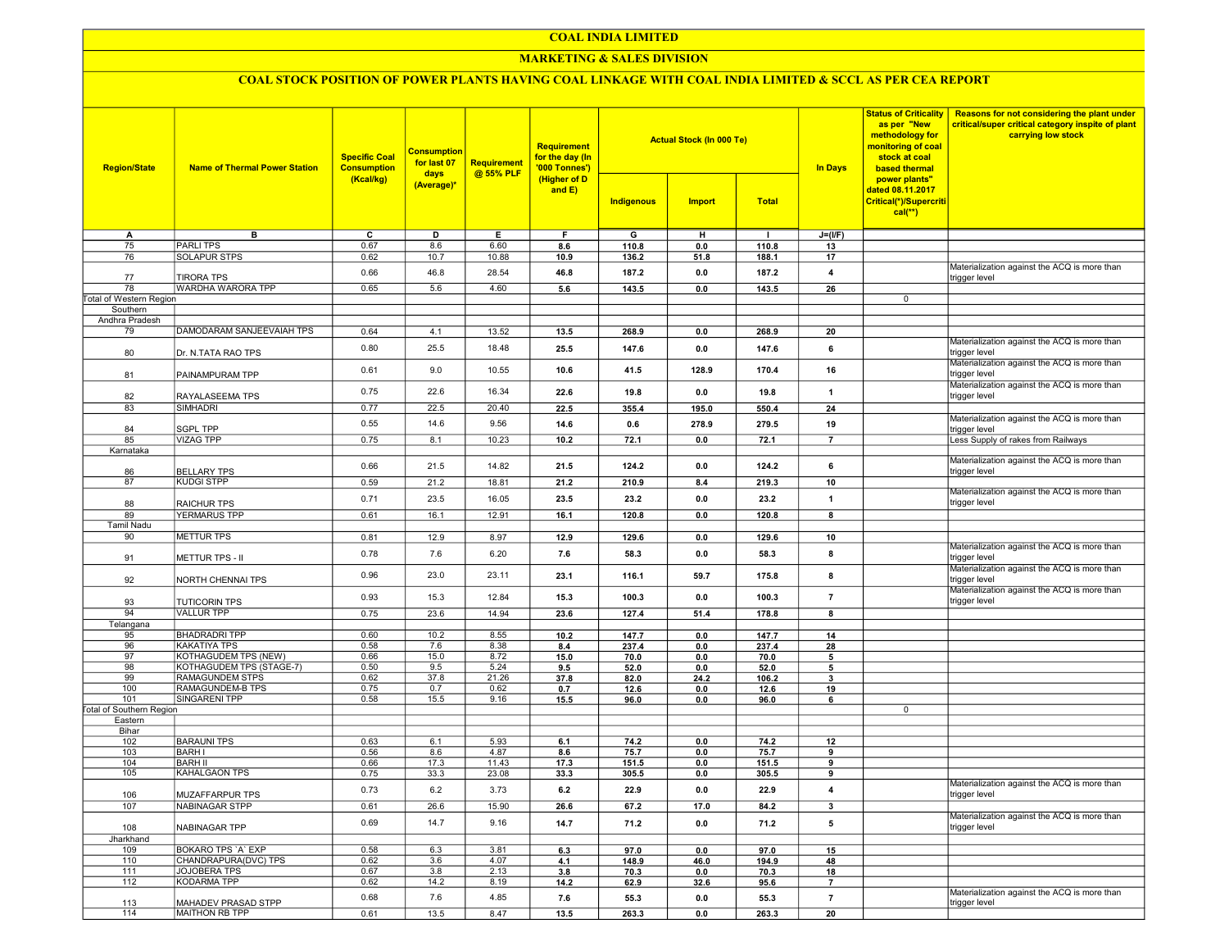### COAL INDIA LIMITED

### **MARKETING & SALES DIVISION**

# COAL STOCK POSITION OF POWER PLANTS HAVING COAL LINKAGE WITH COAL INDIA LIMITED & SCCL AS PER CEA REPORT

| <b>Region/State</b>             | <b>Name of Thermal Power Station</b> | <b>Specific Coal</b><br><b>Consumption</b> | <b>Consumption</b><br>for last 07<br>days<br>(Average)* | <b>Requirement</b><br>@ 55% PLF | <b>Requirement</b><br>for the day (In<br>'000 Tonnes')<br>(Higher of D<br>and $E$ ) |            | <b>Actual Stock (In 000 Te)</b> |              | <b>Status of Criticality</b><br>as per "New<br>methodology for<br>monitoring of coal<br>stock at coal<br><b>In Days</b><br>based thermal | Reasons for not considering the plant under<br>critical/super critical category inspite of plant<br>carrying low stock |                                                               |
|---------------------------------|--------------------------------------|--------------------------------------------|---------------------------------------------------------|---------------------------------|-------------------------------------------------------------------------------------|------------|---------------------------------|--------------|------------------------------------------------------------------------------------------------------------------------------------------|------------------------------------------------------------------------------------------------------------------------|---------------------------------------------------------------|
|                                 |                                      | (Kcal/kg)                                  |                                                         |                                 |                                                                                     | Indigenous | <b>Import</b>                   | <b>Total</b> |                                                                                                                                          | power plants"<br>dated 08.11.2017<br>Critical(*)/Supercriti<br>$cal(**)$                                               |                                                               |
| A                               | в                                    | C                                          | D                                                       | Е.                              | F.                                                                                  | G          | н                               | п.           | $J=(I/F)$                                                                                                                                |                                                                                                                        |                                                               |
| 75                              | <b>PARLITPS</b>                      | 0.67                                       | 8.6                                                     | 6.60                            | 8.6                                                                                 | 110.8      | 0.0                             | 110.8        | 13                                                                                                                                       |                                                                                                                        |                                                               |
| 76                              | <b>SOLAPUR STPS</b>                  | 0.62                                       | 10.7                                                    | 10.88                           | 10.9                                                                                | 136.2      | 51.8                            | 188.1        | 17                                                                                                                                       |                                                                                                                        |                                                               |
| 77                              | <b>TIRORA TPS</b>                    | 0.66                                       | 46.8                                                    | 28.54                           | 46.8                                                                                | 187.2      | 0.0                             | 187.2        | 4                                                                                                                                        |                                                                                                                        | Materialization against the ACQ is more than<br>trigger level |
| 78                              | WARDHA WARORA TPP                    | 0.65                                       | 5.6                                                     | 4.60                            | 5.6                                                                                 | 143.5      | 0.0                             | 143.5        | 26                                                                                                                                       |                                                                                                                        |                                                               |
| Total of Western Region         |                                      |                                            |                                                         |                                 |                                                                                     |            |                                 |              |                                                                                                                                          | 0                                                                                                                      |                                                               |
| Southern                        |                                      |                                            |                                                         |                                 |                                                                                     |            |                                 |              |                                                                                                                                          |                                                                                                                        |                                                               |
| Andhra Pradesh                  |                                      |                                            |                                                         |                                 |                                                                                     |            |                                 |              |                                                                                                                                          |                                                                                                                        |                                                               |
|                                 |                                      |                                            |                                                         |                                 |                                                                                     |            |                                 |              |                                                                                                                                          |                                                                                                                        |                                                               |
| 79                              | DAMODARAM SANJEEVAIAH TPS            | 0.64                                       | 4.1                                                     | 13.52                           | 13.5                                                                                | 268.9      | 0.0                             | 268.9        | 20                                                                                                                                       |                                                                                                                        |                                                               |
| 80                              | Dr. N.TATA RAO TPS                   | 0.80                                       | 25.5                                                    | 18.48                           | 25.5                                                                                | 147.6      | 0.0                             | 147.6        | 6                                                                                                                                        |                                                                                                                        | Materialization against the ACQ is more than<br>trigger level |
| 81                              | PAINAMPURAM TPP                      | 0.61                                       | 9.0                                                     | 10.55                           | 10.6                                                                                | 41.5       | 128.9                           | 170.4        | 16                                                                                                                                       |                                                                                                                        | Materialization against the ACQ is more than<br>trigger level |
| 82                              | RAYALASEEMA TPS                      | 0.75                                       | 22.6                                                    | 16.34                           | 22.6                                                                                | 19.8       | 0.0                             | 19.8         | $\overline{\mathbf{1}}$                                                                                                                  |                                                                                                                        | Materialization against the ACQ is more than<br>trigger level |
| 83                              | <b>SIMHADRI</b>                      | 0.77                                       | 22.5                                                    | 20.40                           | 22.5                                                                                | 355.4      | 195.0                           | 550.4        | 24                                                                                                                                       |                                                                                                                        |                                                               |
|                                 |                                      |                                            |                                                         |                                 |                                                                                     |            |                                 |              |                                                                                                                                          |                                                                                                                        | Materialization against the ACQ is more than                  |
| 84                              | <b>SGPL TPP</b>                      | 0.55                                       | 14.6                                                    | 9.56                            | 14.6                                                                                | 0.6        | 278.9                           | 279.5        | 19                                                                                                                                       |                                                                                                                        | trigger level                                                 |
| 85                              | <b>VIZAG TPP</b>                     | 0.75                                       | 8.1                                                     | 10.23                           | 10.2                                                                                | 72.1       | 0.0                             | 72.1         | $\overline{7}$                                                                                                                           |                                                                                                                        | Less Supply of rakes from Railways                            |
| Karnataka                       |                                      |                                            |                                                         |                                 |                                                                                     |            |                                 |              |                                                                                                                                          |                                                                                                                        |                                                               |
|                                 |                                      | 0.66                                       | 21.5                                                    | 14.82                           | 21.5                                                                                | 124.2      | 0.0                             | 124.2        | 6                                                                                                                                        |                                                                                                                        | Materialization against the ACQ is more than                  |
| 86                              | <b>BELLARY TPS</b>                   |                                            |                                                         |                                 |                                                                                     |            |                                 |              |                                                                                                                                          |                                                                                                                        | trigger level                                                 |
| 87                              | <b>KUDGI STPP</b>                    | 0.59                                       | 21.2                                                    | 18.81                           | 21.2                                                                                | 210.9      | 8.4                             | 219.3        | 10                                                                                                                                       |                                                                                                                        |                                                               |
|                                 |                                      | 0.71                                       | 23.5                                                    | 16.05                           | 23.5                                                                                | 23.2       | 0.0                             | 23.2         | $\overline{1}$                                                                                                                           |                                                                                                                        | Materialization against the ACQ is more than                  |
| 88                              | <b>RAICHUR TPS</b>                   |                                            |                                                         |                                 |                                                                                     |            |                                 |              |                                                                                                                                          |                                                                                                                        | trigger level                                                 |
| 89                              | <b>YERMARUS TPP</b>                  | 0.61                                       | 16.1                                                    | 12.91                           | 16.1                                                                                | 120.8      | 0.0                             | 120.8        | 8                                                                                                                                        |                                                                                                                        |                                                               |
| <b>Tamil Nadu</b>               |                                      |                                            |                                                         |                                 |                                                                                     |            |                                 |              |                                                                                                                                          |                                                                                                                        |                                                               |
| 90                              | <b>METTUR TPS</b>                    | 0.81                                       | 12.9                                                    | 8.97                            | 12.9                                                                                | 129.6      | 0.0                             | 129.6        | 10                                                                                                                                       |                                                                                                                        |                                                               |
| 91                              | <b>METTUR TPS - II</b>               | 0.78                                       | 7.6                                                     | 6.20                            | 7.6                                                                                 | 58.3       | 0.0                             | 58.3         | 8                                                                                                                                        |                                                                                                                        | Materialization against the ACQ is more than<br>trigger level |
| 92                              | NORTH CHENNAI TPS                    | 0.96                                       | 23.0                                                    | 23.11                           | 23.1                                                                                | 116.1      | 59.7                            | 175.8        | 8                                                                                                                                        |                                                                                                                        | Materialization against the ACQ is more than<br>trigger level |
| 93                              | <b>TUTICORIN TPS</b>                 | 0.93                                       | 15.3                                                    | 12.84                           | 15.3                                                                                | 100.3      | 0.0                             | 100.3        | $\overline{7}$                                                                                                                           |                                                                                                                        | Materialization against the ACQ is more than<br>trigger level |
| 94                              | <b>VALLUR TPP</b>                    | 0.75                                       | 23.6                                                    | 14.94                           | 23.6                                                                                | 127.4      | 51.4                            | 178.8        | 8                                                                                                                                        |                                                                                                                        |                                                               |
|                                 |                                      |                                            |                                                         |                                 |                                                                                     |            |                                 |              |                                                                                                                                          |                                                                                                                        |                                                               |
| Telangana                       |                                      | 0.60                                       | 10.2                                                    | 8.55                            |                                                                                     |            |                                 |              |                                                                                                                                          |                                                                                                                        |                                                               |
| 95                              | <b>BHADRADRI TPP</b>                 |                                            |                                                         |                                 | 10.2                                                                                | 147.7      | 0.0                             | 147.7        | 14                                                                                                                                       |                                                                                                                        |                                                               |
| 96                              | <b>KAKATIYA TPS</b>                  | 0.58                                       | 7.6                                                     | 8.38                            | 8.4                                                                                 | 237.4      | 0.0                             | 237.4        | 28                                                                                                                                       |                                                                                                                        |                                                               |
| 97                              | KOTHAGUDEM TPS (NEW)                 | 0.66                                       | 15.0                                                    | 8.72                            | 15.0                                                                                | 70.0       | 0.0                             | 70.0         | 5                                                                                                                                        |                                                                                                                        |                                                               |
| 98                              | KOTHAGUDEM TPS (STAGE-7)             | 0.50                                       | 9.5                                                     | 5.24                            | 9.5                                                                                 | 52.0       | 0.0                             | 52.0         | 5                                                                                                                                        |                                                                                                                        |                                                               |
| 99                              | RAMAGUNDEM STPS                      | 0.62                                       | 37.8                                                    | 21.26                           | 37.8                                                                                | 82.0       | 24.2                            | 106.2        | 3                                                                                                                                        |                                                                                                                        |                                                               |
| 100                             | RAMAGUNDEM-B TPS                     | 0.75                                       | 0.7                                                     | 0.62                            | 0.7                                                                                 | 12.6       | 0.0                             | 12.6         | 19                                                                                                                                       |                                                                                                                        |                                                               |
| 101                             | SINGARENI TPP                        | 0.58                                       | 15.5                                                    | 9.16                            | 15.5                                                                                | 96.0       | 0.0                             | 96.0         | 6                                                                                                                                        |                                                                                                                        |                                                               |
| <b>Total of Southern Region</b> |                                      |                                            |                                                         |                                 |                                                                                     |            |                                 |              |                                                                                                                                          | 0                                                                                                                      |                                                               |
| Eastern                         |                                      |                                            |                                                         |                                 |                                                                                     |            |                                 |              |                                                                                                                                          |                                                                                                                        |                                                               |
| Bihar                           |                                      |                                            |                                                         |                                 |                                                                                     |            |                                 |              |                                                                                                                                          |                                                                                                                        |                                                               |
| 102                             | <b>BARAUNI TPS</b>                   | 0.63                                       | 6.1                                                     | 5.93                            | 6.1                                                                                 | 74.2       | 0.0                             | 74.2         | 12                                                                                                                                       |                                                                                                                        |                                                               |
| 103                             | <b>BARH I</b>                        | 0.56                                       | 8.6                                                     | 4.87                            | 8.6                                                                                 | 75.7       | 0.0                             | 75.7         | 9                                                                                                                                        |                                                                                                                        |                                                               |
| 104                             | <b>BARH II</b>                       | 0.66                                       | 17.3                                                    | 11.43                           | 17.3                                                                                | 151.5      | 0.0                             | 151.5        | 9                                                                                                                                        |                                                                                                                        |                                                               |
| 105                             | KAHALGAON TPS                        | 0.75                                       | 33.3                                                    | 23.08                           | 33.3                                                                                | 305.5      | 0.0                             | 305.5        | 9                                                                                                                                        |                                                                                                                        |                                                               |
| 106                             | <b>MUZAFFARPUR TPS</b>               | 0.73                                       | 6.2                                                     | 3.73                            | 6.2                                                                                 | 22.9       | 0.0                             | 22.9         | 4                                                                                                                                        |                                                                                                                        | Materialization against the ACQ is more than<br>trigger level |
| 107                             | NABINAGAR STPP                       | 0.61                                       | 26.6                                                    | 15.90                           | 26.6                                                                                | 67.2       | 17.0                            | 84.2         | 3                                                                                                                                        |                                                                                                                        |                                                               |
| 108                             | <b>NABINAGAR TPP</b>                 | 0.69                                       | 14.7                                                    | 9.16                            | 14.7                                                                                | 71.2       | 0.0                             | 71.2         | 5                                                                                                                                        |                                                                                                                        | Materialization against the ACQ is more than<br>trigger level |
| Jharkhand                       |                                      |                                            |                                                         |                                 |                                                                                     |            |                                 |              |                                                                                                                                          |                                                                                                                        |                                                               |
| 109                             | BOKARO TPS 'A' EXP                   | 0.58                                       | 6.3                                                     | 3.81                            | 6.3                                                                                 | 97.0       | 0.0                             | 97.0         | 15                                                                                                                                       |                                                                                                                        |                                                               |
| 110                             | CHANDRAPURA(DVC) TPS                 | 0.62                                       | 3.6                                                     | 4.07                            | 4.1                                                                                 | 148.9      | 46.0                            | 194.9        | 48                                                                                                                                       |                                                                                                                        |                                                               |
| 111                             | JOJOBERA TPS                         | 0.67                                       | 3.8                                                     | 2.13                            | 3.8                                                                                 | 70.3       | 0.0                             | 70.3         | 18                                                                                                                                       |                                                                                                                        |                                                               |
| 112                             | <b>KODARMA TPP</b>                   | 0.62                                       | 14.2                                                    | 8.19                            | 14.2                                                                                | 62.9       | 32.6                            | 95.6         | $\overline{7}$                                                                                                                           |                                                                                                                        |                                                               |
|                                 |                                      |                                            |                                                         |                                 |                                                                                     |            |                                 |              |                                                                                                                                          |                                                                                                                        | Materialization against the ACQ is more than                  |
| 113                             | MAHADEV PRASAD STPP                  | 0.68                                       | 7.6                                                     | 4.85                            | 7.6                                                                                 | 55.3       | 0.0                             | 55.3         | $\overline{7}$                                                                                                                           |                                                                                                                        | trigger level                                                 |
| 114                             | <b>MAITHON RB TPP</b>                | 0.61                                       | 13.5                                                    | 8.47                            | 13.5                                                                                | 263.3      | 0.0                             | 263.3        | 20                                                                                                                                       |                                                                                                                        |                                                               |